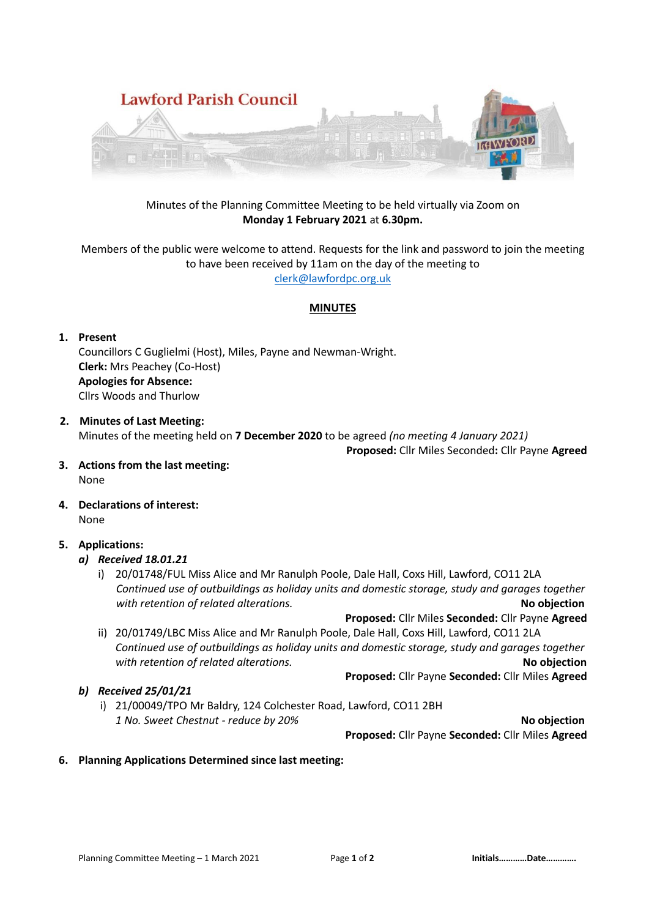

## Minutes of the Planning Committee Meeting to be held virtually via Zoom on **Monday 1 February 2021** at **6.30pm.**

Members of the public were welcome to attend. Requests for the link and password to join the meeting to have been received by 11am on the day of the meeting to [clerk@lawfordpc.org.uk](mailto:clerk@lawfordpc.org.uk)

#### **MINUTES**

#### **1. Present**

Councillors C Guglielmi (Host), Miles, Payne and Newman-Wright. **Clerk:** Mrs Peachey (Co-Host) **Apologies for Absence:**  Cllrs Woods and Thurlow

- **2. Minutes of Last Meeting:** Minutes of the meeting held on **7 December 2020** to be agreed *(no meeting 4 January 2021)*  **Proposed:** Cllr Miles Seconded**:** Cllr Payne **Agreed**
- **3. Actions from the last meeting:** None
- **4. Declarations of interest:** None

## **5. Applications:**

## *a) Received 18.01.21*

i) 20/01748/FUL Miss Alice and Mr Ranulph Poole, Dale Hall, Coxs Hill, Lawford, CO11 2LA  *Continued use of outbuildings as holiday units and domestic storage, study and garages together with retention of related alterations.* **No objection**

**Proposed:** Cllr Miles **Seconded:** Cllr Payne **Agreed** 

ii) 20/01749/LBC Miss Alice and Mr Ranulph Poole, Dale Hall, Coxs Hill, Lawford, CO11 2LA *Continued use of outbuildings as holiday units and domestic storage, study and garages together with retention of related alterations.* **No objection**

**Proposed:** Cllr Payne **Seconded:** Cllr Miles **Agreed** 

*b) Received 25/01/21* i) 21/00049/TPO Mr Baldry, 124 Colchester Road, Lawford, CO11 2BH *1 No. Sweet Chestnut - reduce by 20%* **No objection**

**Proposed:** Cllr Payne **Seconded:** Cllr Miles **Agreed** 

**6. Planning Applications Determined since last meeting:**